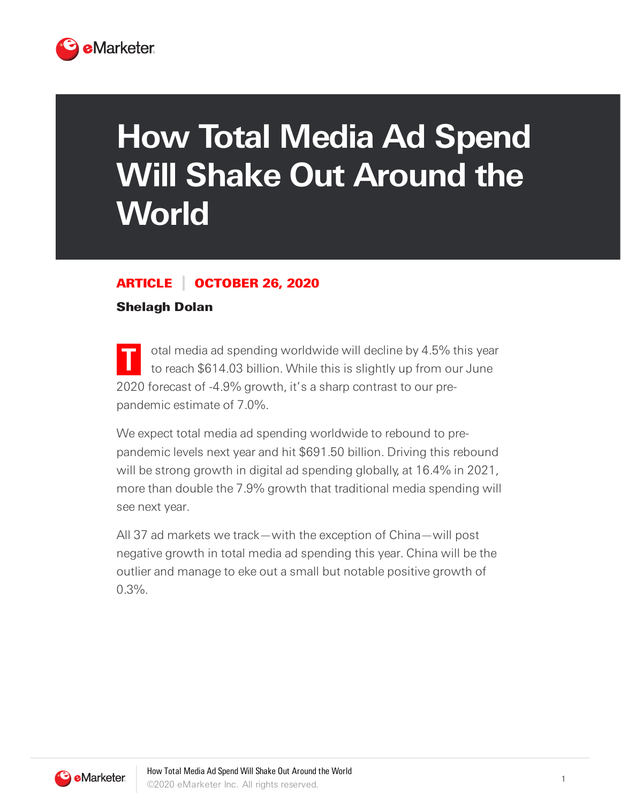

# **How Total Media Ad Spend Will Shake Out Around the World**

### ARTICLE OCTOBER 26, 2020

#### Shelagh Dolan

**T** otal media ad spending worldwide will decline by 4.5% this year to reach \$614.03 billion. While this is slightly up from our June 2020 forecast of -4.9% growth, it's a sharp contrast to our prepandemic estimate of 7.0%.

We expect total media ad spending worldwide to rebound to prepandemic levels next year and hit \$691.50 billion. Driving this rebound will be strong growth in digital ad spending globally, at 16.4% in 2021, more than double the 7.9% growth that traditional media spending will see next year.

All 37 ad markets we track—with the exception of China—will post negative growth in total media ad spending this year. China will be the outlier and manage to eke out a small but notable positive growth of  $0.3\%$ .

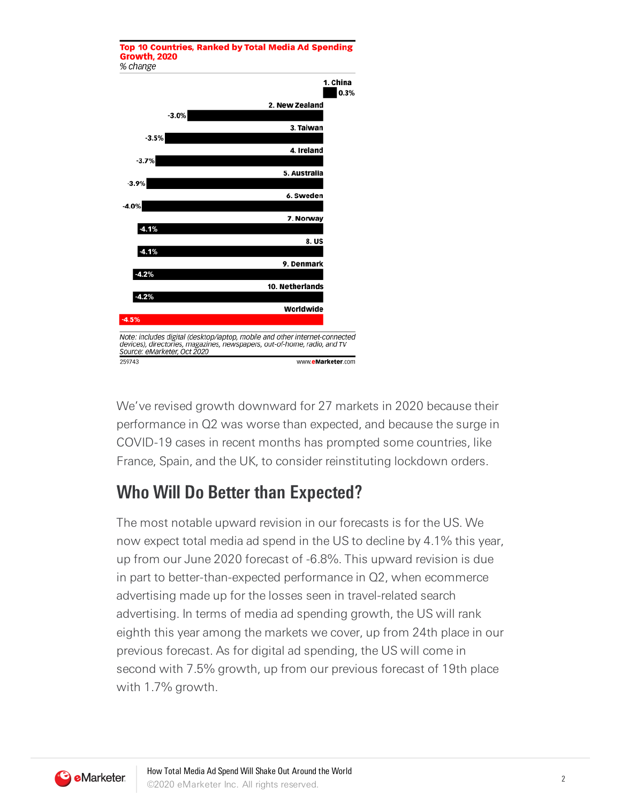

We've revised growth downward for 27 markets in 2020 because their performance in Q2 was worse than expected, and because the surge in COVID-19 cases in recent months has prompted some countries, like France, Spain, and the UK, to consider reinstituting lockdown orders.

## **Who Will Do Better than Expected?**

The most notable upward revision in our forecasts is for the US. We now expect total media ad spend in the US to decline by 4.1% this year, up from our June 2020 forecast of -6.8%. This upward revision is due in part to better-than-expected performance in Q2, when ecommerce advertising made up for the losses seen in travel-related search advertising. In terms of media ad spending growth, the US will rank eighth this year among the markets we cover, up from 24th place in our previous forecast. As for digital ad spending, the US will come in second with 7.5% growth, up from our previous forecast of 19th place with 1.7% growth.